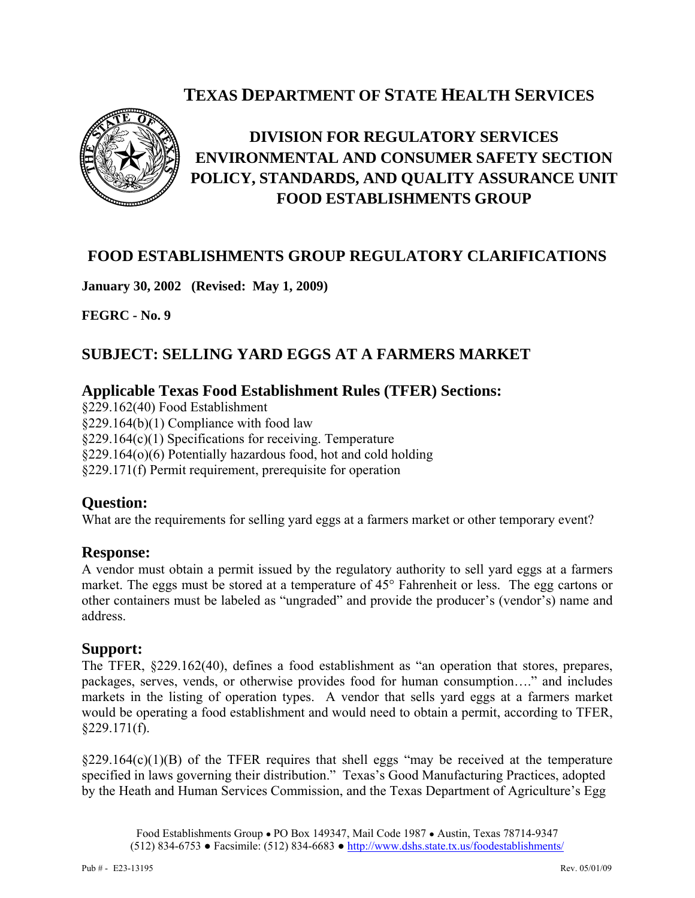# **TEXAS DEPARTMENT OF STATE HEALTH SERVICES**



# **DIVISION FOR REGULATORY SERVICES ENVIRONMENTAL AND CONSUMER SAFETY SECTION POLICY, STANDARDS, AND QUALITY ASSURANCE UNIT FOOD ESTABLISHMENTS GROUP**

## **FOOD ESTABLISHMENTS GROUP REGULATORY CLARIFICATIONS**

**January 30, 2002 (Revised: May 1, 2009)** 

**FEGRC - No. 9** 

## **SUBJECT: SELLING YARD EGGS AT A FARMERS MARKET**

#### **Applicable Texas Food Establishment Rules (TFER) Sections:**

§229.162(40) Food Establishment §229.164(b)(1) Compliance with food law §229.164(c)(1) Specifications for receiving. Temperature §229.164(o)(6) Potentially hazardous food, hot and cold holding §229.171(f) Permit requirement, prerequisite for operation

#### **Question:**

What are the requirements for selling yard eggs at a farmers market or other temporary event?

#### **Response:**

A vendor must obtain a permit issued by the regulatory authority to sell yard eggs at a farmers market. The eggs must be stored at a temperature of 45° Fahrenheit or less. The egg cartons or other containers must be labeled as "ungraded" and provide the producer's (vendor's) name and address.

#### **Support:**

The TFER, §229.162(40), defines a food establishment as "an operation that stores, prepares, packages, serves, vends, or otherwise provides food for human consumption…." and includes markets in the listing of operation types. A vendor that sells yard eggs at a farmers market would be operating a food establishment and would need to obtain a permit, according to TFER,  $§229.171(f).$ 

 $\S229.164(c)(1)(B)$  of the TFER requires that shell eggs "may be received at the temperature specified in laws governing their distribution." Texas's Good Manufacturing Practices, adopted by the Heath and Human Services Commission, and the Texas Department of Agriculture's Egg

Food Establishments Group ● PO Box 149347, Mail Code 1987 ● Austin, Texas 78714-9347 (512) 834-6753 ● Facsimile: (512) 834-6683 ● http://www.dshs.state.tx.us/foodestablishments/